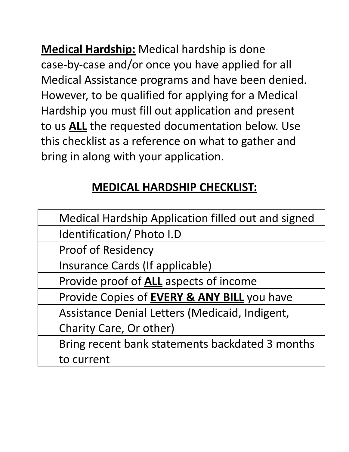**Medical Hardship:** Medical hardship is done case-by-case and/or once you have applied for all Medical Assistance programs and have been denied. However, to be qualified for applying for a Medical Hardship you must fill out application and present to us **ALL** the requested documentation below. Use this checklist as a reference on what to gather and bring in along with your application.

## **MEDICAL HARDSHIP CHECKLIST:**

| <b>Medical Hardship Application filled out and signed</b> |
|-----------------------------------------------------------|
| Identification/ Photo I.D                                 |
| <b>Proof of Residency</b>                                 |
| Insurance Cards (If applicable)                           |
| Provide proof of <b>ALL</b> aspects of income             |
| Provide Copies of <b>EVERY &amp; ANY BILL</b> you have    |
| Assistance Denial Letters (Medicaid, Indigent,            |
| Charity Care, Or other)                                   |
| Bring recent bank statements backdated 3 months           |
| to current                                                |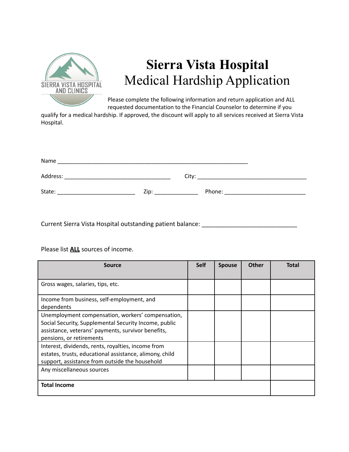

## **Sierra Vista Hospital** Medical Hardship Application

Please complete the following information and return application and ALL requested documentation to the Financial Counselor to determine if you

qualify for a medical hardship. If approved, the discount will apply to all services received at Sierra Vista Hospital.

| Name     |      |       |        |  |
|----------|------|-------|--------|--|
| Address: |      | City: |        |  |
| State:   | Zip: |       | Phone: |  |

Current Sierra Vista Hospital outstanding patient balance: \_\_\_\_\_\_\_\_\_\_\_\_\_\_

Please list **ALL** sources of income.

| Source                                                  | <b>Self</b> | <b>Spouse</b> | <b>Other</b> | <b>Total</b> |
|---------------------------------------------------------|-------------|---------------|--------------|--------------|
|                                                         |             |               |              |              |
| Gross wages, salaries, tips, etc.                       |             |               |              |              |
|                                                         |             |               |              |              |
| Income from business, self-employment, and              |             |               |              |              |
| dependents                                              |             |               |              |              |
| Unemployment compensation, workers' compensation,       |             |               |              |              |
| Social Security, Supplemental Security Income, public   |             |               |              |              |
| assistance, veterans' payments, survivor benefits,      |             |               |              |              |
| pensions, or retirements                                |             |               |              |              |
| Interest, dividends, rents, royalties, income from      |             |               |              |              |
| estates, trusts, educational assistance, alimony, child |             |               |              |              |
| support, assistance from outside the household          |             |               |              |              |
| Any miscellaneous sources                               |             |               |              |              |
|                                                         |             |               |              |              |
| <b>Total Income</b>                                     |             |               |              |              |
|                                                         |             |               |              |              |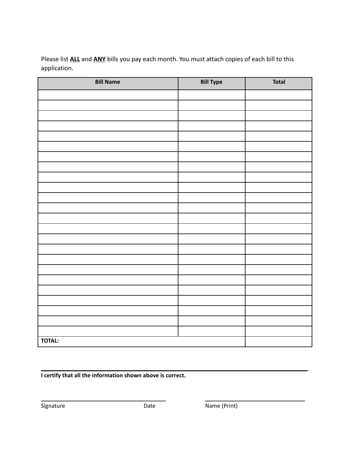Please list **ALL** and **ANY** bills you pay each month. You must attach copies of each bill to this application.

| <b>Bill Name</b> | <b>Bill Type</b> | <b>Total</b> |
|------------------|------------------|--------------|
|                  |                  |              |
|                  |                  |              |
|                  |                  |              |
|                  |                  |              |
|                  |                  |              |
|                  |                  |              |
|                  |                  |              |
|                  |                  |              |
|                  |                  |              |
|                  |                  |              |
|                  |                  |              |
|                  |                  |              |
|                  |                  |              |
|                  |                  |              |
|                  |                  |              |
|                  |                  |              |
|                  |                  |              |
|                  |                  |              |
|                  |                  |              |
|                  |                  |              |
|                  |                  |              |
|                  |                  |              |
|                  |                  |              |
|                  |                  |              |
| <b>TOTAL:</b>    |                  |              |

**I certify that all the information shown above is correct.**

**\_\_\_\_\_\_\_\_\_\_\_\_\_\_\_\_\_\_\_\_\_\_\_\_\_\_\_\_\_\_\_\_\_\_\_\_\_\_\_\_ \_\_\_\_\_\_\_\_\_\_\_\_\_\_\_\_\_\_\_\_\_\_\_\_\_\_\_\_\_\_\_\_**